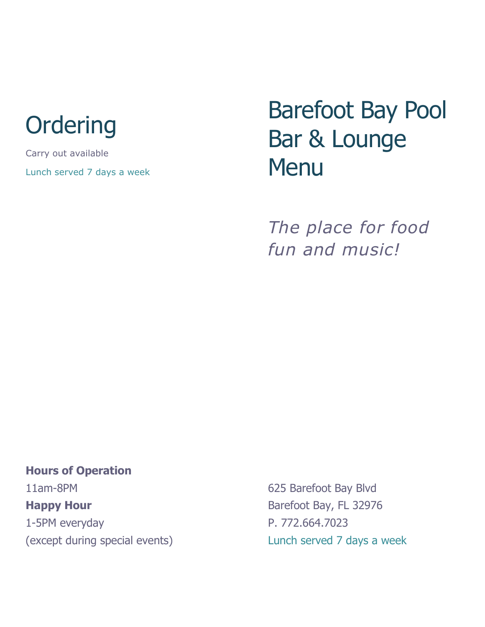# **Ordering**

Carry out available Lunch served 7 days a week

## Barefoot Bay Pool Bar & Lounge **Menu**

*The place for food fun and music!*

**Hours of Operation** 11am-8PM **Happy Hour** 1-5PM everyday (except during special events)

625 Barefoot Bay Blvd Barefoot Bay, FL 32976 P. 772.664.7023 Lunch served 7 days a week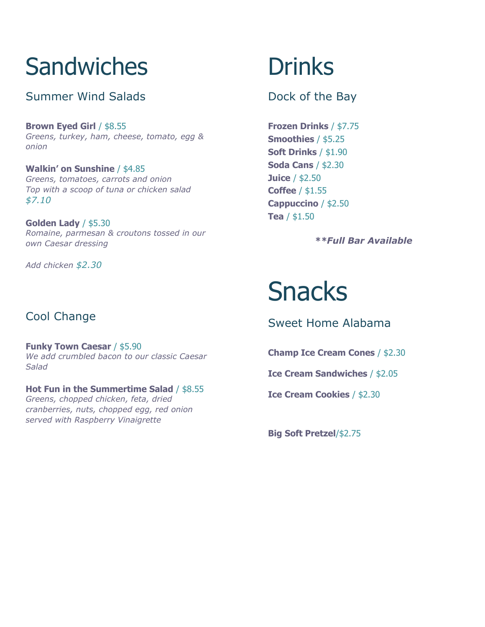# **Sandwiches**

Summer Wind Salads

**Brown Eyed Girl** / \$8.55 *Greens, turkey, ham, cheese, tomato, egg & onion*

**Walkin' on Sunshine** / \$4.85 *Greens, tomatoes, carrots and onion Top with a scoop of tuna or chicken salad \$7.10*

**Golden Lady** / \$5.30 *Romaine, parmesan & croutons tossed in our own Caesar dressing*

*Add chicken \$2.30*

### Cool Change

**Funky Town Caesar** / \$5.90 *We add crumbled bacon to our classic Caesar Salad*

#### **Hot Fun in the Summertime Salad** / \$8.55

*Greens, chopped chicken, feta, dried cranberries, nuts, chopped egg, red onion served with Raspberry Vinaigrette*

# **Drinks**

Dock of the Bay

**Frozen Drinks** / \$7.75 **Smoothies** / \$5.25 **Soft Drinks** / \$1.90 **Soda Cans** / \$2.30 **Juice** / \$2.50 **Coffee** / \$1.55 **Cappuccino** / \$2.50 **Tea** / \$1.50

*\*\*Full Bar Available*

# Snacks

Sweet Home Alabama

**Champ Ice Cream Cones** / \$2.30

**Ice Cream Sandwiches** / \$2.05

**Ice Cream Cookies** / \$2.30

**Big Soft Pretzel**/\$2.75